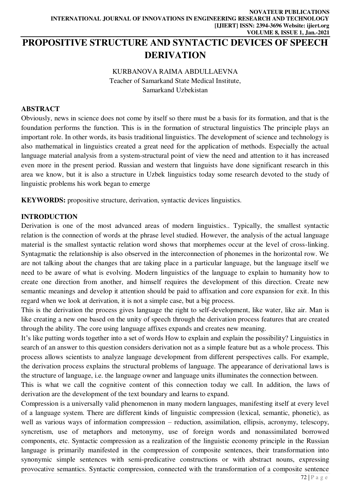# **PROPOSITIVE STRUCTURE AND SYNTACTIC DEVICES OF SPEECH DERIVATION**

KURBANOVA RAIMA ABDULLAEVNA Teacher of Samarkand State Medical Institute, Samarkand Uzbekistan

### **ABSTRACT**

Obviously, news in science does not come by itself so there must be a basis for its formation, and that is the foundation performs the function. This is in the formation of structural linguistics The principle plays an important role. In other words, its basis traditional linguistics. The development of science and technology is also mathematical in linguistics created a great need for the application of methods. Especially the actual language material analysis from a system-structural point of view the need and attention to it has increased even more in the present period. Russian and western that linguists have done significant research in this area we know, but it is also a structure in Uzbek linguistics today some research devoted to the study of linguistic problems his work began to emerge

**KEYWORDS:** propositive structure, derivation, syntactic devices linguistics.

#### **INTRODUCTION**

Derivation is one of the most advanced areas of modern linguistics.. Typically, the smallest syntactic relation is the connection of words at the phrase level studied. However, the analysis of the actual language material is the smallest syntactic relation word shows that morphemes occur at the level of cross-linking. Syntagmatic the relationship is also observed in the interconnection of phonemes in the horizontal row. We are not talking about the changes that are taking place in a particular language, but the language itself we need to be aware of what is evolving. Modern linguistics of the language to explain to humanity how to create one direction from another, and himself requires the development of this direction. Create new semantic meanings and develop it attention should be paid to affixation and core expansion for exit. In this regard when we look at derivation, it is not a simple case, but a big process.

This is the derivation the process gives language the right to self-development, like water, like air. Man is like creating a new one based on the unity of speech through the derivation process features that are created through the ability. The core using language affixes expands and creates new meaning.

It's like putting words together into a set of words How to explain and explain the possibility? Linguistics in search of an answer to this question considers derivation not as a simple feature but as a whole process. This process allows scientists to analyze language development from different perspectives calls. For example, the derivation process explains the structural problems of language. The appearance of derivational laws is the structure of language, i.e. the language owner and language units illuminates the connection between.

This is what we call the cognitive content of this connection today we call. In addition, the laws of derivation are the development of the text boundary and learns to expand.

Compression is a universally valid phenomenon in many modern languages, manifesting itself at every level of a language system. There are different kinds of linguistic compression (lexical, semantic, phonetic), as well as various ways of information compression - reduction, assimilation, ellipsis, acronymy, telescopy, syncretism, use of metaphors and metonymy, use of foreign words and nonassimilated borrowed components, etc. Syntactic compression as a realization of the linguistic economy principle in the Russian language is primarily manifested in the compression of composite sentences, their transformation into synonymic simple sentences with semi-predicative constructions or with abstract nouns, expressing provocative semantics. Syntactic compression, connected with the transformation of a composite sentence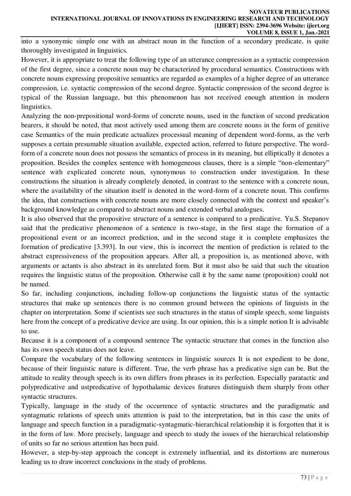into a synonymic simple one with an abstract noun in the function of a secondary predicate, is quite thoroughly investigated in linguistics.

However, it is appropriate to treat the following type of an utterance compression as a syntactic compression of the first degree, since a concrete noun may be characterized by procedural semantics. Constructions with concrete nouns expressing propositive semantics are regarded as examples of a higher degree of an utterance compression, i.e. syntactic compression of the second degree. Syntactic compression of the second degree is typical of the Russian language, but this phenomenon has not received enough attention in modern linguistics.

Analyzing the non-prepositional word-forms of concrete nouns, used in the function of second predication bearers, it should be noted, that most actively used among them are concrete nouns in the form of genitive case Semantics of the main predicate actualizes processual meaning of dependent word-forms, as the verb supposes a certain presumable situation available, expected action, referred to future perspective. The wordform of a concrete noun does not possess the semantics of process in its meaning, but elliptically it denotes a proposition. Besides the complex sentence with homogeneous clauses, there is a simple "non-elementary" sentence with explicated concrete noun, synonymous to construction under investigation. In these constructions the situation is already completely denoted, in contrast to the sentence with a concrete noun, where the availability of the situation itself is denoted in the word-form of a concrete noun. This confirms the idea, that constructions with concrete nouns are more closely connected with the context and speaker's background knowledge as compared to abstract nouns and extended verbal analogues.

It is also observed that the propositive structure of a sentence is compared to a predicative. Yu.S. Stepanov said that the predicative phenomenon of a sentence is two-stage, in the first stage the formation of a propositional event or an incorrect prediction, and in the second stage it is complete emphasizes the formation of predicative [3.393]. In our view, this is incorrect the mention of prediction is related to the abstract expressiveness of the proposition appears. After all, a proposition is, as mentioned above, with arguments or actants is also abstract in its unrelated form. But it must also be said that such the situation requires the linguistic status of the proposition. Otherwise call it by the same name (proposition) could not be named.

So far, including conjunctions, including follow-up conjunctions the linguistic status of the syntactic structures that make up sentences there is no common ground between the opinions of linguists in the chapter on interpretation. Some if scientists see such structures in the status of simple speech, some linguists here from the concept of a predicative device are using. In our opinion, this is a simple notion It is advisable to use.

Because it is a component of a compound sentence The syntactic structure that comes in the function also has its own speech status does not leave.

Compare the vocabulary of the following sentences in linguistic sources It is not expedient to be done, because of their linguistic nature is different. True, the verb phrase has a predicative sign can be. But the attitude to reality through speech is its own differs from phrases in its perfection. Especially paratactic and polypredicative and ustpredicative of hypothalamic devices features distinguish them sharply from other syntactic structures.

Typically, language in the study of the occurrence of syntactic structures and the paradigmatic and syntagmatic relations of speech units attention is paid to the interpretation, but in this case the units of language and speech function in a paradigmatic-syntagmatic-hierarchical relationship it is forgotten that it is in the form of law. More precisely, language and speech to study the issues of the hierarchical relationship of units so far no serious attention has been paid.

However, a step-by-step approach the concept is extremely influential, and its distortions are numerous leading us to draw incorrect conclusions in the study of problems.